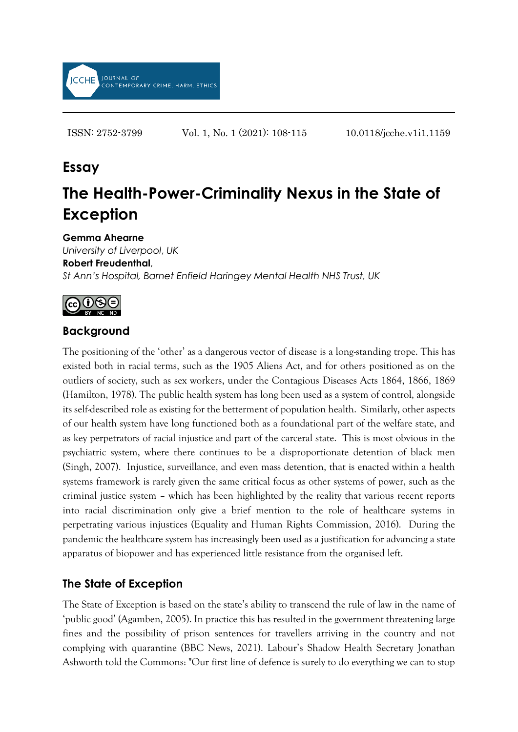

ISSN: 2752-3799 Vol. 1, No. 1 (2021): 108-115 10.0118/jcche.v1i1.1159

# **Essay**

# **The Health-Power-Criminality Nexus in the State of Exception**

#### **Gemma Ahearne**

*University of Liverpool*, *UK* **Robert Freudenthal**, *St Ann's Hospital, Barnet Enfield Haringey Mental Health NHS Trust, UK*



#### **Background**

The positioning of the 'other' as a dangerous vector of disease is a long-standing trope. This has existed both in racial terms, such as the 1905 Aliens Act, and for others positioned as on the outliers of society, such as sex workers, under the Contagious Diseases Acts 1864, 1866, 1869 (Hamilton, 1978). The public health system has long been used as a system of control, alongside its self-described role as existing for the betterment of population health. Similarly, other aspects of our health system have long functioned both as a foundational part of the welfare state, and as key perpetrators of racial injustice and part of the carceral state. This is most obvious in the psychiatric system, where there continues to be a disproportionate detention of black men (Singh, 2007). Injustice, surveillance, and even mass detention, that is enacted within a health systems framework is rarely given the same critical focus as other systems of power, such as the criminal justice system – which has been highlighted by the reality that various recent reports into racial discrimination only give a brief mention to the role of healthcare systems in perpetrating various injustices (Equality and Human Rights Commission, 2016). During the pandemic the healthcare system has increasingly been used as a justification for advancing a state apparatus of biopower and has experienced little resistance from the organised left.

#### **The State of Exception**

The State of Exception is based on the state's ability to transcend the rule of law in the name of 'public good' (Agamben, 2005). In practice this has resulted in the government threatening large fines and the possibility of prison sentences for travellers arriving in the country and not complying with quarantine (BBC News, 2021). Labour's Shadow Health Secretary Jonathan Ashworth told the Commons: "Our first line of defence is surely to do everything we can to stop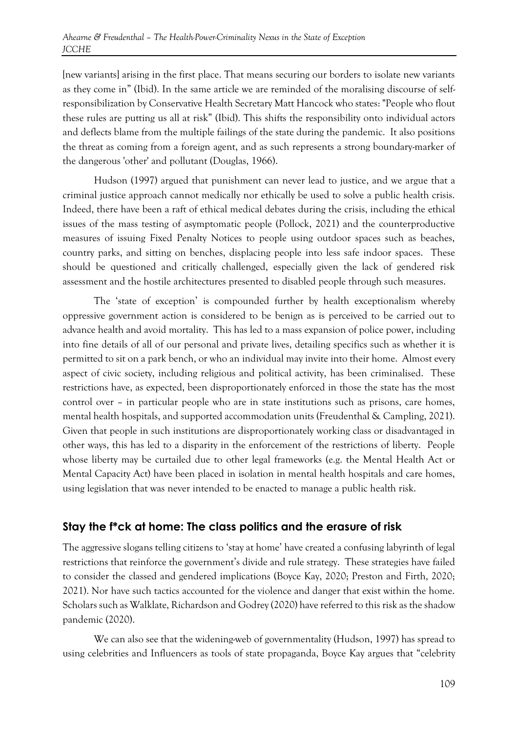[new variants] arising in the first place. That means securing our borders to isolate new variants as they come in" (Ibid). In the same article we are reminded of the moralising discourse of selfresponsibilization by Conservative Health Secretary Matt Hancock who states: "People who flout these rules are putting us all at risk" (Ibid). This shifts the responsibility onto individual actors and deflects blame from the multiple failings of the state during the pandemic. It also positions the threat as coming from a foreign agent, and as such represents a strong boundary-marker of the dangerous 'other' and pollutant (Douglas, 1966).

Hudson (1997) argued that punishment can never lead to justice, and we argue that a criminal justice approach cannot medically nor ethically be used to solve a public health crisis. Indeed, there have been a raft of ethical medical debates during the crisis, including the ethical issues of the mass testing of asymptomatic people (Pollock, 2021) and the counterproductive measures of issuing Fixed Penalty Notices to people using outdoor spaces such as beaches, country parks, and sitting on benches, displacing people into less safe indoor spaces. These should be questioned and critically challenged, especially given the lack of gendered risk assessment and the hostile architectures presented to disabled people through such measures.

The 'state of exception' is compounded further by health exceptionalism whereby oppressive government action is considered to be benign as is perceived to be carried out to advance health and avoid mortality. This has led to a mass expansion of police power, including into fine details of all of our personal and private lives, detailing specifics such as whether it is permitted to sit on a park bench, or who an individual may invite into their home. Almost every aspect of civic society, including religious and political activity, has been criminalised. These restrictions have, as expected, been disproportionately enforced in those the state has the most control over – in particular people who are in state institutions such as prisons, care homes, mental health hospitals, and supported accommodation units (Freudenthal & Campling, 2021). Given that people in such institutions are disproportionately working class or disadvantaged in other ways, this has led to a disparity in the enforcement of the restrictions of liberty. People whose liberty may be curtailed due to other legal frameworks (e.g. the Mental Health Act or Mental Capacity Act) have been placed in isolation in mental health hospitals and care homes, using legislation that was never intended to be enacted to manage a public health risk.

#### **Stay the f\*ck at home: The class politics and the erasure of risk**

The aggressive slogans telling citizens to 'stay at home' have created a confusing labyrinth of legal restrictions that reinforce the government's divide and rule strategy. These strategies have failed to consider the classed and gendered implications (Boyce Kay, 2020; Preston and Firth, 2020; 2021). Nor have such tactics accounted for the violence and danger that exist within the home. Scholars such as Walklate, Richardson and Godrey (2020) have referred to this risk as the shadow pandemic (2020).

We can also see that the widening-web of governmentality (Hudson, 1997) has spread to using celebrities and Influencers as tools of state propaganda, Boyce Kay argues that "celebrity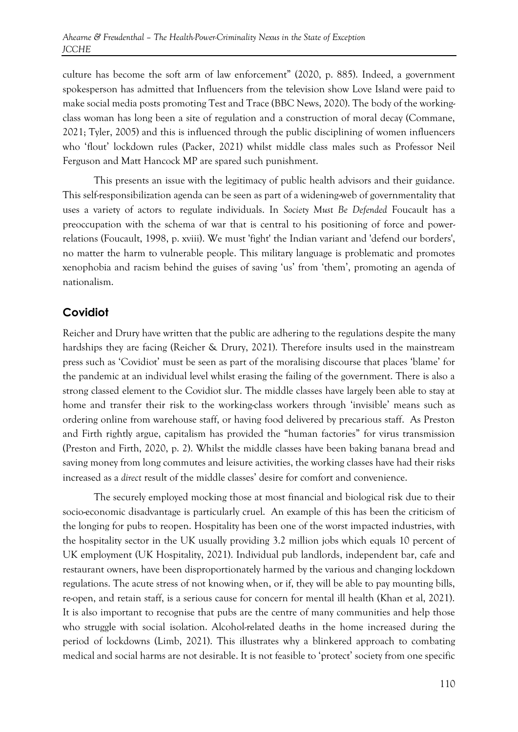culture has become the soft arm of law enforcement" (2020, p. 885). Indeed, a government spokesperson has admitted that Influencers from the television show Love Island were paid to make social media posts promoting Test and Trace (BBC News, 2020). The body of the workingclass woman has long been a site of regulation and a construction of moral decay (Commane, 2021; Tyler, 2005) and this is influenced through the public disciplining of women influencers who 'flout' lockdown rules (Packer, 2021) whilst middle class males such as Professor Neil Ferguson and Matt Hancock MP are spared such punishment.

This presents an issue with the legitimacy of public health advisors and their guidance. This self-responsibilization agenda can be seen as part of a widening-web of governmentality that uses a variety of actors to regulate individuals. In *Society Must Be Defended* Foucault has a preoccupation with the schema of war that is central to his positioning of force and powerrelations (Foucault, 1998, p. xviii). We must 'fight' the Indian variant and 'defend our borders', no matter the harm to vulnerable people. This military language is problematic and promotes xenophobia and racism behind the guises of saving 'us' from 'them', promoting an agenda of nationalism.

#### **Covidiot**

Reicher and Drury have written that the public are adhering to the regulations despite the many hardships they are facing (Reicher & Drury, 2021). Therefore insults used in the mainstream press such as 'Covidiot' must be seen as part of the moralising discourse that places 'blame' for the pandemic at an individual level whilst erasing the failing of the government. There is also a strong classed element to the Covidiot slur. The middle classes have largely been able to stay at home and transfer their risk to the working-class workers through 'invisible' means such as ordering online from warehouse staff, or having food delivered by precarious staff. As Preston and Firth rightly argue, capitalism has provided the "human factories" for virus transmission (Preston and Firth, 2020, p. 2). Whilst the middle classes have been baking banana bread and saving money from long commutes and leisure activities, the working classes have had their risks increased as a *direct* result of the middle classes' desire for comfort and convenience.

The securely employed mocking those at most financial and biological risk due to their socio-economic disadvantage is particularly cruel. An example of this has been the criticism of the longing for pubs to reopen. Hospitality has been one of the worst impacted industries, with the hospitality sector in the UK usually providing 3.2 million jobs which equals 10 percent of UK employment (UK Hospitality, 2021). Individual pub landlords, independent bar, cafe and restaurant owners, have been disproportionately harmed by the various and changing lockdown regulations. The acute stress of not knowing when, or if, they will be able to pay mounting bills, re-open, and retain staff, is a serious cause for concern for mental ill health (Khan et al, 2021). It is also important to recognise that pubs are the centre of many communities and help those who struggle with social isolation. Alcohol-related deaths in the home increased during the period of lockdowns (Limb, 2021). This illustrates why a blinkered approach to combating medical and social harms are not desirable. It is not feasible to 'protect' society from one specific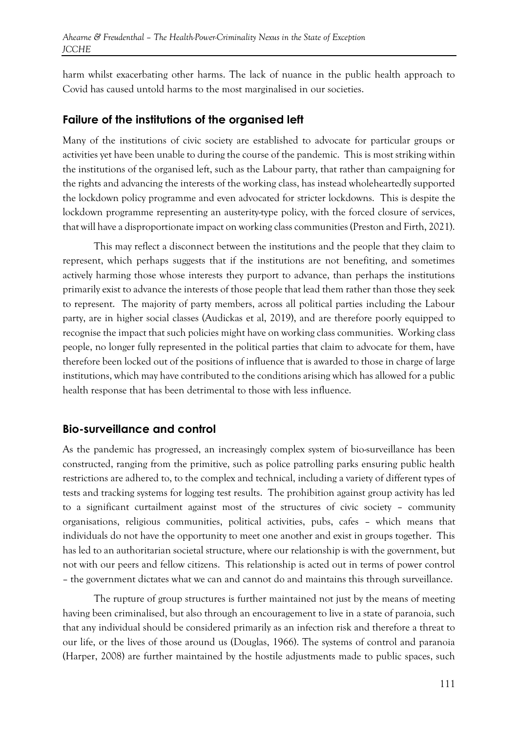harm whilst exacerbating other harms. The lack of nuance in the public health approach to Covid has caused untold harms to the most marginalised in our societies.

#### **Failure of the institutions of the organised left**

Many of the institutions of civic society are established to advocate for particular groups or activities yet have been unable to during the course of the pandemic. This is most striking within the institutions of the organised left, such as the Labour party, that rather than campaigning for the rights and advancing the interests of the working class, has instead wholeheartedly supported the lockdown policy programme and even advocated for stricter lockdowns. This is despite the lockdown programme representing an austerity-type policy, with the forced closure of services, that will have a disproportionate impact on working class communities (Preston and Firth, 2021).

This may reflect a disconnect between the institutions and the people that they claim to represent, which perhaps suggests that if the institutions are not benefiting, and sometimes actively harming those whose interests they purport to advance, than perhaps the institutions primarily exist to advance the interests of those people that lead them rather than those they seek to represent. The majority of party members, across all political parties including the Labour party, are in higher social classes (Audickas et al, 2019), and are therefore poorly equipped to recognise the impact that such policies might have on working class communities. Working class people, no longer fully represented in the political parties that claim to advocate for them, have therefore been locked out of the positions of influence that is awarded to those in charge of large institutions, which may have contributed to the conditions arising which has allowed for a public health response that has been detrimental to those with less influence.

#### **Bio-surveillance and control**

As the pandemic has progressed, an increasingly complex system of bio-surveillance has been constructed, ranging from the primitive, such as police patrolling parks ensuring public health restrictions are adhered to, to the complex and technical, including a variety of different types of tests and tracking systems for logging test results. The prohibition against group activity has led to a significant curtailment against most of the structures of civic society – community organisations, religious communities, political activities, pubs, cafes – which means that individuals do not have the opportunity to meet one another and exist in groups together. This has led to an authoritarian societal structure, where our relationship is with the government, but not with our peers and fellow citizens. This relationship is acted out in terms of power control – the government dictates what we can and cannot do and maintains this through surveillance.

The rupture of group structures is further maintained not just by the means of meeting having been criminalised, but also through an encouragement to live in a state of paranoia, such that any individual should be considered primarily as an infection risk and therefore a threat to our life, or the lives of those around us (Douglas, 1966). The systems of control and paranoia (Harper, 2008) are further maintained by the hostile adjustments made to public spaces, such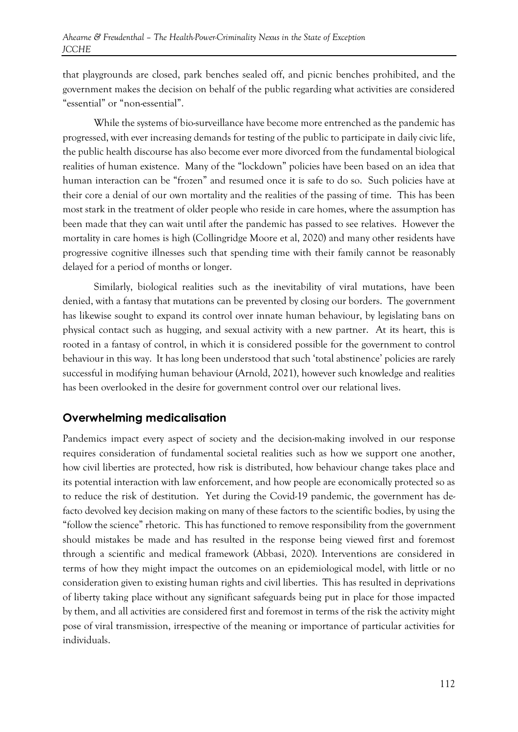that playgrounds are closed, park benches sealed off, and picnic benches prohibited, and the government makes the decision on behalf of the public regarding what activities are considered "essential" or "non-essential".

While the systems of bio-surveillance have become more entrenched as the pandemic has progressed, with ever increasing demands for testing of the public to participate in daily civic life, the public health discourse has also become ever more divorced from the fundamental biological realities of human existence. Many of the "lockdown" policies have been based on an idea that human interaction can be "frozen" and resumed once it is safe to do so. Such policies have at their core a denial of our own mortality and the realities of the passing of time. This has been most stark in the treatment of older people who reside in care homes, where the assumption has been made that they can wait until after the pandemic has passed to see relatives. However the mortality in care homes is high (Collingridge Moore et al, 2020) and many other residents have progressive cognitive illnesses such that spending time with their family cannot be reasonably delayed for a period of months or longer.

Similarly, biological realities such as the inevitability of viral mutations, have been denied, with a fantasy that mutations can be prevented by closing our borders. The government has likewise sought to expand its control over innate human behaviour, by legislating bans on physical contact such as hugging, and sexual activity with a new partner. At its heart, this is rooted in a fantasy of control, in which it is considered possible for the government to control behaviour in this way. It has long been understood that such 'total abstinence' policies are rarely successful in modifying human behaviour (Arnold, 2021), however such knowledge and realities has been overlooked in the desire for government control over our relational lives.

## **Overwhelming medicalisation**

Pandemics impact every aspect of society and the decision-making involved in our response requires consideration of fundamental societal realities such as how we support one another, how civil liberties are protected, how risk is distributed, how behaviour change takes place and its potential interaction with law enforcement, and how people are economically protected so as to reduce the risk of destitution. Yet during the Covid-19 pandemic, the government has defacto devolved key decision making on many of these factors to the scientific bodies, by using the "follow the science" rhetoric. This has functioned to remove responsibility from the government should mistakes be made and has resulted in the response being viewed first and foremost through a scientific and medical framework (Abbasi, 2020). Interventions are considered in terms of how they might impact the outcomes on an epidemiological model, with little or no consideration given to existing human rights and civil liberties. This has resulted in deprivations of liberty taking place without any significant safeguards being put in place for those impacted by them, and all activities are considered first and foremost in terms of the risk the activity might pose of viral transmission, irrespective of the meaning or importance of particular activities for individuals.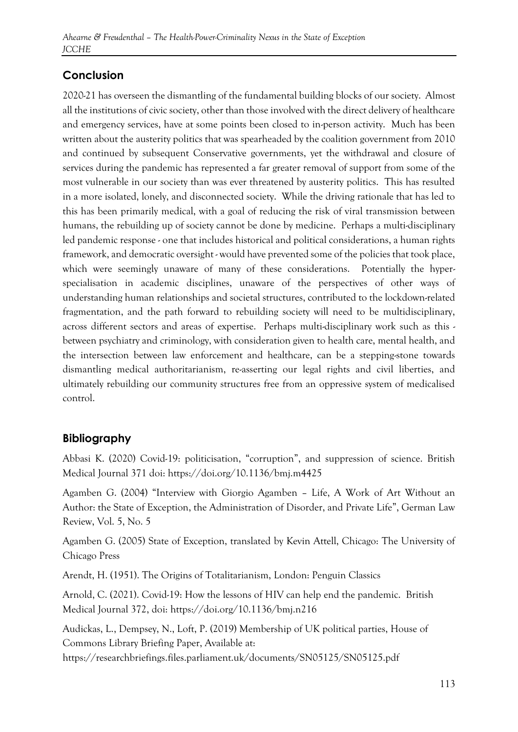## **Conclusion**

2020-21 has overseen the dismantling of the fundamental building blocks of our society. Almost all the institutions of civic society, other than those involved with the direct delivery of healthcare and emergency services, have at some points been closed to in-person activity. Much has been written about the austerity politics that was spearheaded by the coalition government from 2010 and continued by subsequent Conservative governments, yet the withdrawal and closure of services during the pandemic has represented a far greater removal of support from some of the most vulnerable in our society than was ever threatened by austerity politics. This has resulted in a more isolated, lonely, and disconnected society. While the driving rationale that has led to this has been primarily medical, with a goal of reducing the risk of viral transmission between humans, the rebuilding up of society cannot be done by medicine. Perhaps a multi-disciplinary led pandemic response - one that includes historical and political considerations, a human rights framework, and democratic oversight - would have prevented some of the policies that took place, which were seemingly unaware of many of these considerations. Potentially the hyperspecialisation in academic disciplines, unaware of the perspectives of other ways of understanding human relationships and societal structures, contributed to the lockdown-related fragmentation, and the path forward to rebuilding society will need to be multidisciplinary, across different sectors and areas of expertise. Perhaps multi-disciplinary work such as this between psychiatry and criminology, with consideration given to health care, mental health, and the intersection between law enforcement and healthcare, can be a stepping-stone towards dismantling medical authoritarianism, re-asserting our legal rights and civil liberties, and ultimately rebuilding our community structures free from an oppressive system of medicalised control.

## **Bibliography**

Abbasi K. (2020) Covid-19: politicisation, "corruption", and suppression of science. British Medical Journal 371 doi: https://doi.org/10.1136/bmj.m4425

Agamben G. (2004) "Interview with Giorgio Agamben – Life, A Work of Art Without an Author: the State of Exception, the Administration of Disorder, and Private Life", German Law Review, Vol. 5, No. 5

Agamben G. (2005) State of Exception, translated by Kevin Attell, Chicago: The University of Chicago Press

Arendt, H. (1951). The Origins of Totalitarianism, London: Penguin Classics

Arnold, C. (2021). Covid-19: How the lessons of HIV can help end the pandemic. British Medical Journal 372, doi: https://doi.org/10.1136/bmj.n216

Audickas, L., Dempsey, N., Loft, P. (2019) Membership of UK political parties, House of Commons Library Briefing Paper, Available at: https://researchbriefings.files.parliament.uk/documents/SN05125/SN05125.pdf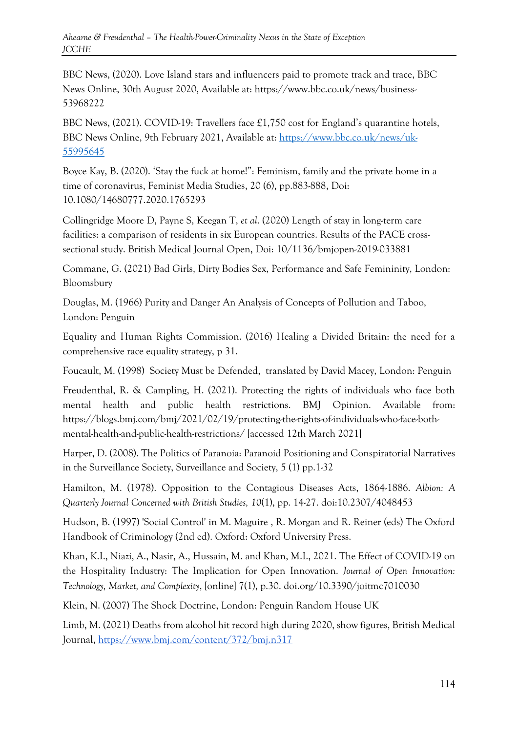BBC News, (2020). Love Island stars and influencers paid to promote track and trace, BBC News Online, 30th August 2020, Available at: https://www.bbc.co.uk/news/business-53968222

BBC News, (2021). COVID-19: Travellers face £1,750 cost for England's quarantine hotels, BBC News Online, 9th February 2021, Available at: [https://www.bbc.co.uk/news/uk-](https://www.bbc.co.uk/news/uk-55995645)[55995645](https://www.bbc.co.uk/news/uk-55995645)

Boyce Kay, B. (2020). 'Stay the fuck at home!": Feminism, family and the private home in a time of coronavirus, Feminist Media Studies, 20 (6), pp.883-888, Doi: 10.1080/14680777.2020.1765293

Collingridge Moore D, Payne S, Keegan T, *et al*. (2020) Length of stay in long-term care facilities: a comparison of residents in six European countries. Results of the PACE crosssectional study. British Medical Journal Open, Doi: 10/1136/bmjopen-2019-033881

Commane, G. (2021) Bad Girls, Dirty Bodies Sex, Performance and Safe Femininity, London: Bloomsbury

Douglas, M. (1966) Purity and Danger An Analysis of Concepts of Pollution and Taboo, London: Penguin

Equality and Human Rights Commission. (2016) Healing a Divided Britain: the need for a comprehensive race equality strategy, p 31.

Foucault, M. (1998) Society Must be Defended, translated by David Macey, London: Penguin

Freudenthal, R. & Campling, H. (2021). Protecting the rights of individuals who face both mental health and public health restrictions. BMJ Opinion. Available from: https://blogs.bmj.com/bmj/2021/02/19/protecting-the-rights-of-individuals-who-face-bothmental-health-and-public-health-restrictions/ [accessed 12th March 2021]

Harper, D. (2008). The Politics of Paranoia: Paranoid Positioning and Conspiratorial Narratives in the Surveillance Society, Surveillance and Society, 5 (1) pp.1-32

Hamilton, M. (1978). Opposition to the Contagious Diseases Acts, 1864-1886. *Albion: A Quarterly Journal Concerned with British Studies, 10*(1), pp. 14-27. doi:10.2307/4048453

Hudson, B. (1997) 'Social Control' in M. Maguire , R. Morgan and R. Reiner (eds) The Oxford Handbook of Criminology (2nd ed). Oxford: Oxford University Press.

Khan, K.I., Niazi, A., Nasir, A., Hussain, M. and Khan, M.I., 2021. The Effect of COVID-19 on the Hospitality Industry: The Implication for Open Innovation. *Journal of Open Innovation: Technology, Market, and Complexity*, [online] 7(1), p.30. doi.org/10.3390/joitmc7010030

Klein, N. (2007) The Shock Doctrine, London: Penguin Random House UK

Limb, M. (2021) Deaths from alcohol hit record high during 2020, show figures, British Medical Journal,<https://www.bmj.com/content/372/bmj.n317>